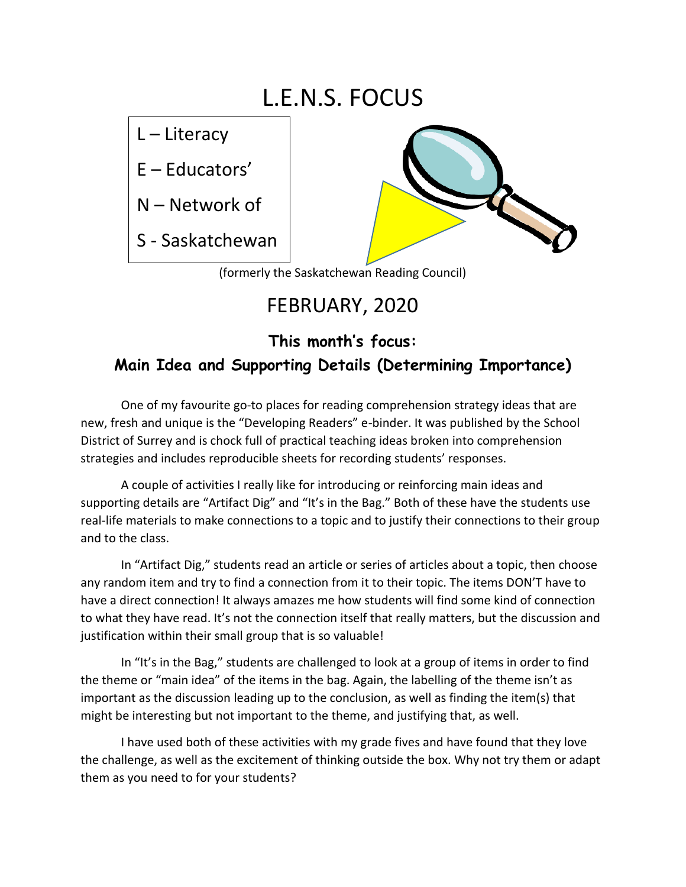# L.E.N.S. FOCUS

L – Literacy

E – Educators'

N – Network of

S - Saskatchewan



(formerly the Saskatchewan Reading Council)

## FEBRUARY, 2020

### **This month's focus: Main Idea and Supporting Details (Determining Importance)**

One of my favourite go-to places for reading comprehension strategy ideas that are new, fresh and unique is the "Developing Readers" e-binder. It was published by the School District of Surrey and is chock full of practical teaching ideas broken into comprehension strategies and includes reproducible sheets for recording students' responses.

A couple of activities I really like for introducing or reinforcing main ideas and supporting details are "Artifact Dig" and "It's in the Bag." Both of these have the students use real-life materials to make connections to a topic and to justify their connections to their group and to the class.

In "Artifact Dig," students read an article or series of articles about a topic, then choose any random item and try to find a connection from it to their topic. The items DON'T have to have a direct connection! It always amazes me how students will find some kind of connection to what they have read. It's not the connection itself that really matters, but the discussion and justification within their small group that is so valuable!

In "It's in the Bag," students are challenged to look at a group of items in order to find the theme or "main idea" of the items in the bag. Again, the labelling of the theme isn't as important as the discussion leading up to the conclusion, as well as finding the item(s) that might be interesting but not important to the theme, and justifying that, as well.

I have used both of these activities with my grade fives and have found that they love the challenge, as well as the excitement of thinking outside the box. Why not try them or adapt them as you need to for your students?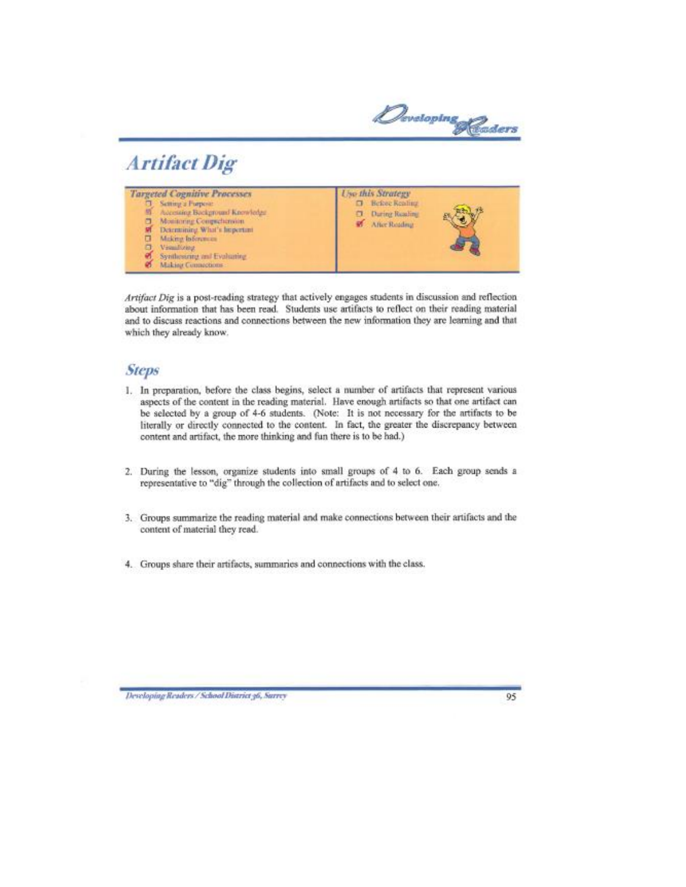Developing Readers

## **Artifact Dig**

| <b>Targeted Cognitive Processes</b><br>Setting a Furpose:<br>切<br>Adecising Background Knowledge<br>Monitoring Comprehension<br>Determining What's hopertuni-<br>Making Informatic<br>п<br>Θ<br>Vismillough<br>Synthesizing and Evaluating<br>Making Connections | Use this Strategy<br><b>Hefore Reading</b><br>п<br>During Reading<br>n.<br>M After Reading |
|------------------------------------------------------------------------------------------------------------------------------------------------------------------------------------------------------------------------------------------------------------------|--------------------------------------------------------------------------------------------|
|------------------------------------------------------------------------------------------------------------------------------------------------------------------------------------------------------------------------------------------------------------------|--------------------------------------------------------------------------------------------|

Artifact Dig is a post-reading strategy that actively engages students in discussion and reflection about information that has been read. Students use artifacts to reflect on their reading material and to discuss reactions and connections between the new information they are learning and that which they already know.

### **Steps**

- 1. In preparation, before the class begins, select a number of artifacts that represent various aspects of the content in the reading material. Have enough artifacts so that one artifact can be selected by a group of 4-6 students. (Note: It is not necessary for the artifacts to be literally or directly connected to the content. In fact, the greater the discrepancy between content and artifact, the more thinking and fun there is to be had.)
- 2. During the lesson, organize students into small groups of 4 to 6. Each group sends a representative to "dig" through the collection of artifacts and to select one.
- 3. Groups summarize the reading material and make connections between their artifacts and the content of material they read.
- 4. Groups share their artifacts, summaries and connections with the class.

Developing Readers / School District 36, Surrey

95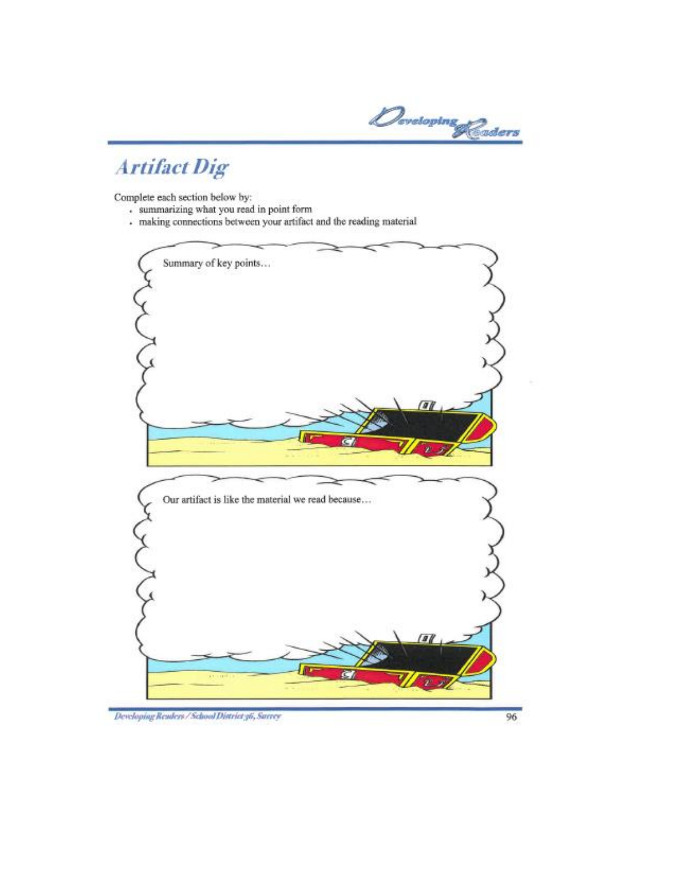Developing Readers

# **Artifact Dig**

Complete each section below by:

- . summarizing what you read in point form
- making connections between your artifact and the reading material



Developing Readers / School District 36, Surrey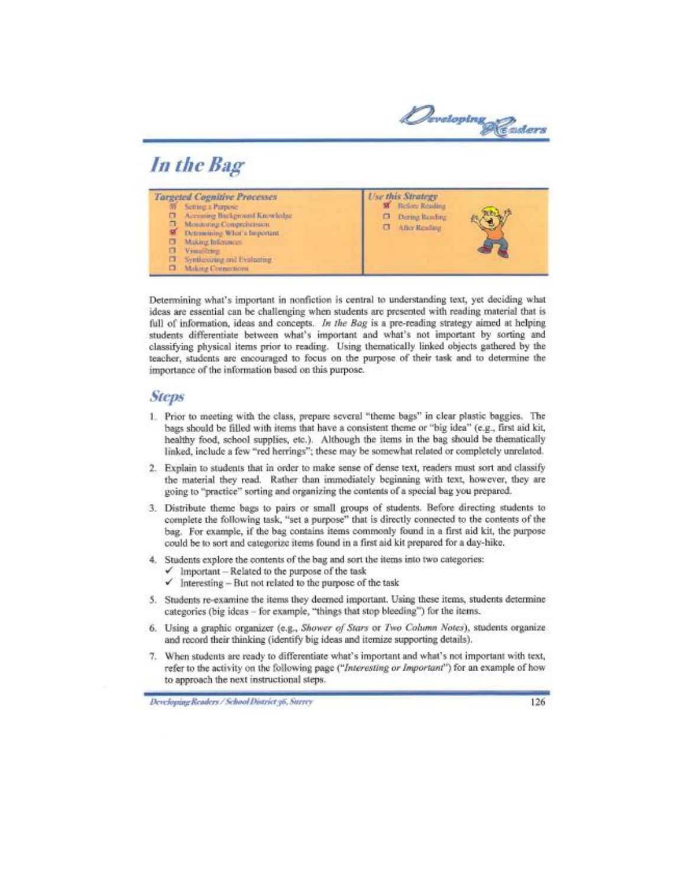Developing Readers

## In the Bag

| <b>Use this Strategy</b><br><b>Targeted Cognitive Processes</b><br>Before Reading<br>Setting a Purpose<br>w<br>Accessing Background Knowledge<br>▫<br>During Reading<br>o<br>α<br>Montoring Congrenetsson<br>After Reading<br>a.<br>s<br>Determining What's Important<br>Making Inferences.<br>σ<br>п<br>Visualting<br>Syntheoroug and Evaluating<br>о<br>α<br>Making Creincritors |
|------------------------------------------------------------------------------------------------------------------------------------------------------------------------------------------------------------------------------------------------------------------------------------------------------------------------------------------------------------------------------------|
|------------------------------------------------------------------------------------------------------------------------------------------------------------------------------------------------------------------------------------------------------------------------------------------------------------------------------------------------------------------------------------|

Determining what's important in nonfiction is central to understanding text, yet deciding what ideas are essential can be challenging when students are presented with reading material that is full of information, ideas and concepts. In the Bag is a pre-reading strategy aimed at helping students differentiate between what's important and what's not important by sorting and classifying physical items prior to reading. Using thematically linked objects gathered by the teacher, students are encouraged to focus on the purpose of their task and to determine the importance of the information based on this purpose.

#### **Steps**

- 1. Prior to meeting with the class, prepare several "theme bags" in clear plastic baggies. The bags should be filled with items that have a consistent theme or "big idea" (e.g., first aid kit, healthy food, school supplies, etc.). Although the items in the bag should be thematically linked, include a few "red herrings"; these may be somewhat related or completely unrelated.
- 2. Explain to students that in order to make sense of dense text, readers must sort and classify the material they read. Rather than immediately beginning with text, however, they are going to "practice" sorting and organizing the contents of a special bag you prepared.
- 3. Distribute theme bags to pairs or small groups of students. Before directing students to complete the following task, "set a purpose" that is directly connected to the contents of the bag. For example, if the bag contains items commonly found in a first aid kit, the purpose could be to sort and categorize items found in a first aid kit prepared for a day-hike.
- 4. Students explore the contents of the bag and sort the items into two categories:
	- $\checkmark$  Important Related to the purpose of the task
	- $\checkmark$  Interesting But not related to the purpose of the task
- 5. Students re-examine the items they deemed important. Using these items, students determine categories (big ideas - for example, "things that stop bleeding") for the items.
- 6. Using a graphic organizer (e.g., Shower of Stars or Two Column Notes), students organize and record their thinking (identify big ideas and itemize supporting details).
- 7. When students are ready to differentiate what's important and what's not important with text, refer to the activity on the following page ("Interesting or Important") for an example of how to approach the next instructional steps.

Developing Readers / School District 36, Surrey

126